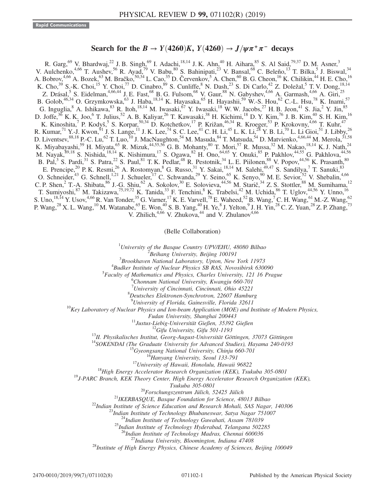## Search for the  $B \to Y(4260)K$ ,  $Y(4260) \to J/\psi \pi^+ \pi^-$  decays

R. Garg, <sup>69</sup> V. Bhardwaj, <sup>22</sup> J. B. Singh, <sup>69</sup> I. Adachi, <sup>18,14</sup> J. K. Ahn, <sup>40</sup> H. Aihara, <sup>85</sup> S. Al Said, <sup>79,37</sup> D. M. Asner, <sup>3</sup> V. Aulchenko,  $4,66$  T. Aushev,  $56$  R. Ayad,  $79$  V. Babu,  $80$  S. Bahinipati,  $23$  V. Bansal,  $68$  C. Beleño,  $13$  T. Bilka,  $5$  J. Biswal,  $34$ A. Bobrov,<sup>4,66</sup> A. Bozek,<sup>63</sup> M. Bračko,<sup>50,34</sup> L. Cao,<sup>35</sup> D. Červenkov,<sup>5</sup> A. Chen,<sup>60</sup> B. G. Cheon,<sup>16</sup> K. Chilikin,<sup>44</sup> H. E. Cho,<sup>16</sup> K. Cho,<sup>39</sup> S.-K. Choi,<sup>15</sup> Y. Choi,<sup>77</sup> D. Cinabro,<sup>89</sup> S. Cunliffe,<sup>8</sup> N. Dash,<sup>23</sup> S. Di Carlo,<sup>42</sup> Z. Doležal,<sup>5</sup> T. V. Dong,<sup>18,14</sup> Z. Drásal,<sup>5</sup> S. Eidelman,<sup>4,66,44</sup> J. E. Fast,<sup>68</sup> B. G. Fulsom,<sup>68</sup> V. Gaur,<sup>88</sup> N. Gabyshev,<sup>4,66</sup> A. Garmash,<sup>4,66</sup> A. Giri,<sup>25</sup> B. Golob,<sup>46,34</sup> O. Grzymkowska,<sup>63</sup> J. Haba,<sup>18,14</sup> K. Hayasaka,<sup>65</sup> H. Hayashii,<sup>59</sup> W.-S. Hou,<sup>62</sup> C.-L. Hsu,<sup>78</sup> K. Inami,<sup>57</sup> G. Inguglia,  $8$  A. Ishikawa,  $8$  R. Itoh,  $18,14$  M. Iwasaki,  $67$  Y. Iwasaki,  $18$  W. W. Jacobs,  $27$  H. B. Jeon,  $41$  S. Jia,  $2$  Y. Jin,  $85$ D. Joffe,<sup>36</sup> K. K. Joo,<sup>6</sup> T. Julius,<sup>52</sup> A. B. Kaliyar,<sup>26</sup> T. Kawasaki,<sup>38</sup> H. Kichimi,<sup>18</sup> D. Y. Kim,<sup>76</sup> J. B. Kim,<sup>40</sup> S. H. Kim,<sup>16</sup> K. Kinoshita,<sup>7</sup> P. Kodyš,<sup>5</sup> S. Korpar,<sup>50,34</sup> D. Kotchetkov,<sup>17</sup> P. Križan,<sup>46,34</sup> R. Kroeger,<sup>53</sup> P. Krokovny,<sup>4,66</sup> T. Kuhr,<sup>47</sup> R. Kumar,  ${}^{71}$  Y.-J. Kwon,  ${}^{91}$  J. S. Lange,  ${}^{11}$  J. K. Lee,  ${}^{74}$  S. C. Lee,  ${}^{41}$  C. H. Li,  ${}^{45}$  L. K. Li,  ${}^{28}$  Y. B. Li,  ${}^{70}$  L. Li Gioi,  ${}^{51}$  J. Libby,  ${}^{26}$ D. Liventsev,  $88,18$  P.-C. Lu,  $^{62}$  T. Luo,  $^{10}$  J. MacNaughton,  $^{54}$  M. Masuda,  $^{84}$  T. Matsuda,  $^{54}$  D. Matvienko,  $^{4,66,44}$  M. Merola,  $^{31,58}$ K. Miyabayashi,<sup>59</sup> H. Miyata,<sup>65</sup> R. Mizuk,<sup>44,55,56</sup> G. B. Mohanty,<sup>80</sup> T. Mori,<sup>57</sup> R. Mussa,<sup>32</sup> M. Nakao,<sup>18,14</sup> K. J. Nath,<sup>24</sup> M. Nayak,<sup>89,18</sup> S. Nishida,<sup>18,14</sup> K. Nishimura,<sup>17</sup> S. Ogawa,<sup>82</sup> H. Ono,<sup>64,65</sup> Y. Onuki,<sup>85</sup> P. Pakhlov,<sup>44,55</sup> G. Pakhlova,<sup>44,56</sup> B. Pal, <sup>3</sup> S. Pardi, <sup>31</sup> S. Patra, <sup>22</sup> S. Paul, <sup>81</sup> T. K. Pedlar, <sup>48</sup> R. Pestotnik, <sup>34</sup> L. E. Piilonen, <sup>88</sup> V. Popov, <sup>44,56</sup> K. Prasanth, <sup>80</sup> E. Prencipe,<sup>20</sup> P. K. Resmi,<sup>26</sup> A. Rostomyan,<sup>8</sup> G. Russo,<sup>31</sup> Y. Sakai,<sup>18,14</sup> M. Salehi,<sup>49,47</sup> S. Sandilya,<sup>7</sup> T. Sanuki,<sup>83</sup> O. Schneider,<sup>43</sup> G. Schnell,<sup>1,21</sup> J. Schueler,<sup>17</sup> C. Schwanda,<sup>29</sup> Y. Seino,<sup>65</sup> K. Senyo,<sup>90</sup> M. E. Sevior,<sup>52</sup> V. Shebalin,<sup>4,66</sup> C. P. Shen,  $2$  T.-A. Shibata,  $86$  J.-G. Shiu,  $62$  A. Sokolov,  $30$  E. Solovieva,  $44,56$  M. Starič,  $34$  Z. S. Stottler,  $88$  M. Sumihama,  $12$ T. Sumiyoshi,<sup>87</sup> M. Takizawa,<sup>75,19,72</sup> K. Tanida,<sup>33</sup> F. Tenchini,<sup>8</sup> K. Trabelsi,<sup>42</sup> M. Uchida,<sup>86</sup> T. Uglov,<sup>44,56</sup> Y. Unno,<sup>16</sup> S. Uno,  $^{18,14}$  Y. Usov,  $^{4,66}$  R. Van Tonder,  $^{35}$  G. Varner,  $^{17}$  K. E. Varvell,  $^{78}$  E. Waheed,  $^{52}$  B. Wang,  $^{7}$  C. H. Wang,  $^{61}$  M.-Z. Wang,  $^{62}$ P. Wang,<sup>28</sup> X. L. Wang,<sup>10</sup> M. Watanabe,<sup>65</sup> E. Won,<sup>40</sup> S. B. Yang,<sup>40</sup> H. Ye,<sup>8</sup> J. Yelton,<sup>9</sup> J. H. Yin,<sup>28</sup> C. Z. Yuan,<sup>28</sup> Z. P. Zhang,<sup>73</sup> V. Zhilich, $4,66$  V. Zhukova, $44$  and V. Zhulanov $4,66$ 

(Belle Collaboration)

<sup>1</sup>University of the Basque Country UPV/EHU, 48080 Bilbao  $\frac{2 \text{ B} \text{g}}{2 \text{ B} \text{g}}$  Library University, Bailing 100101

 $B$ eihang University, Beijing 100191

 ${}^{3}$ Brookhaven National Laboratory, Upton, New York 11973

 $4$ Budker Institute of Nuclear Physics SB RAS, Novosibirsk 630090

 ${}^{5}$ Faculty of Mathematics and Physics, Charles University, 121 16 Prague

<sup>6</sup>Chonnam National University, Kwangju 660-701

<sup>7</sup>University of Cincinnati, Cincinnati, Ohio 45221<sup>8</sup>Dautsches Elektronen Synghretren, 22607 Hamburg

Deutsches Elektronen-Synchrotron, 22607 Hamburg

<sup>9</sup>University of Florida, Gainesville, Florida 32611

 $^{10}$ Key Laboratory of Nuclear Physics and Ion-beam Application (MOE) and Institute of Modern Physics,

Fudan University, Shanghai 200443<br>
<sup>11</sup>Justus-Liebig-Universität Gießen, 35392 Gießen<br>
<sup>12</sup>Gifu University, Gifu 501-1193<br>
<sup>13</sup>II. Physikalisches Institut, Georg-August-Universität Göttingen, 37073 Göttingen<br>
<sup>14</sup>SOKENDAI

 $Xukuba 305-0801$ <sup>20</sup>Forschungszentrum Jülich, 52425 Jülich<br>
<sup>21</sup>IKERBASQUE, Basque Foundation for Science, 48013 Bilbao<br>
<sup>22</sup>Indian Institute of Science Education and Research Mohali, SAS Nagar, 140306<br>
<sup>23</sup>Indian Institut

<sup>26</sup>Indian Institute of Technology Madras, Chennai 600036<br><sup>27</sup>Indiana University, Bloomington, Indiana 47408<br><sup>28</sup>Institute of High Energy Physics, Chinese Academy of Sciences, Beijing 100049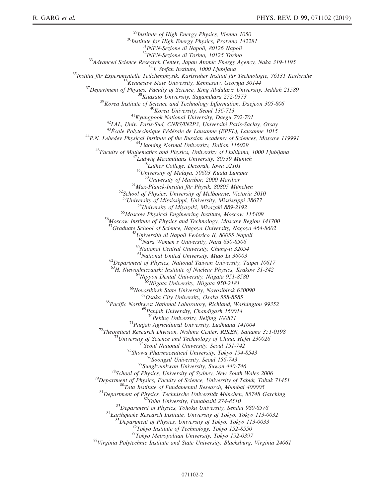<sup>29</sup>Institute of High Energy Physics, Vienna 1050<br><sup>30</sup>Institute for High Energy Physics, Protvino 142281<br><sup>31</sup>INFN-Sezione di Napoli, 80126 Napoli<br><sup>32</sup>INFN-Sezione di Torino, 10125 Torino  $\begin{array}{c} \begin{array}{c} \text{^{32}HNPN-Sezione d\&1 Torino, 10125 Torino \\ \text{^{33}Advanced Science Research Centen, Jqpon Arom. (D00 Ljubljana \\ \text{^{34}J. Stefan Institute, 1000 Ljubljana \\ \text{^{35}Insitut für Experimentelle Teilchenphysik, Karlsruher Institut für Technologie, 76131 Karlsruhe \\ \text{^{36}Kemesaw State University, Kennesaw, Georgia 30144 \\ \text{^{37}Department of Physics, Faculty of Science, King Abdullahi, Daejeon 305-806 \\ \text{^{38}Kitaasto University, Saganihara 252-$ <sup>52</sup>School of Physics, University of Melbourne, Victoria 3010<br><sup>53</sup>University of Mississippi, University, Mississippi 38677<br><sup>54</sup>University of Miyazaki, Miyazaki 889-2192<br><sup>55</sup>Moscow Physical Engineering Institute, Moscow 11 <sup>57</sup>Graduate School of Science, Nagoya University, Nagoya 464-8602<br><sup>58</sup>Università di Napoli Federico II, 80055 Napoli<br><sup>59</sup>Nara Women's University, Nara 630-8506  $^{60}$ National Central University, Chung-li 32054<br> $^{61}$ National United University, Miao Li 36003 <sup>62</sup>Department of Physics, National Taiwan University, Taipei 10617<br><sup>63</sup>H. Niewodniczanski Institute of Nuclear Physics, Krakow 31-342 <sup>64</sup>Nippon Dental University, Niigata 951-8580<br><sup>65</sup>Niigata University, Niigata 950-2181<br><sup>66</sup>Novosibirsk State University, Novosibirsk 630090<br><sup>67</sup>Osaka City University, Osaka 558-8585<br><sup>68</sup>Pacific Northwest National Laborat <sup>69</sup>Panjab University, Chandigarh 160014<br><sup>70</sup>Peking University, Beijing 100871 <sup>70</sup>Peking University, Beijing 100871<br>
<sup>71</sup>Pemjab Agricultural University, Ludhiana 141004<br>
<sup>71</sup>Theoretical Research Division, Nishina Center, RIKEN, Saitama 351-0198<br>
<sup>73</sup>University of Science and Technology of China, He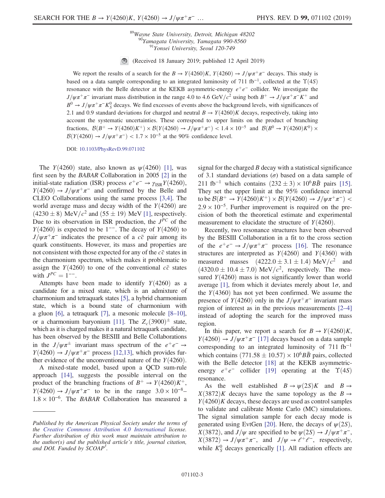<sup>89</sup>Wayne State University, Detroit, Michigan 48202<br><sup>90</sup>Yamagata University, Yamagata 990-8560<br><sup>91</sup>Yonsei University, Seoul 120-749

(Received 18 January 2019; published 12 April 2019)

We report the results of a search for the  $B \to Y(4260)K$ ,  $Y(4260) \to J/\psi \pi^+ \pi^-$  decays. This study is based on a data sample corresponding to an integrated luminosity of 711 fb<sup>-1</sup>, collected at the  $\Upsilon(4S)$ resonance with the Belle detector at the KEKB asymmetric-energy  $e^+e^-$  collider. We investigate the  $J/\psi\pi^+\pi^-$  invariant mass distribution in the range 4.0 to 4.6 GeV/c<sup>2</sup> using both  $B^+ \to J/\psi\pi^+\pi^-K^+$  and  $B^0 \to J/\psi \pi^+ \pi^- K^0_S$  decays. We find excesses of events above the background levels, with significances of 2.1 and 0.9 standard deviations for charged and neutral  $B \to Y(4260)K$  decays, respectively, taking into account the systematic uncertainties. These correspond to upper limits on the product of branching fractions,  $\mathcal{B}(B^+ \to Y(4260)K^+) \times \mathcal{B}(Y(4260) \to J/\psi \pi^+ \pi^-) < 1.4 \times 10^{-5}$  and  $\mathcal{B}(B^0 \to Y(4260)K^0) \times$  $\mathcal{B}(Y(4260) \rightarrow J/\psi \pi^+\pi^-)$  < 1.7 × 10<sup>-5</sup> at the 90% confidence level.

DOI: [10.1103/PhysRevD.99.071102](https://doi.org/10.1103/PhysRevD.99.071102)

The  $Y(4260)$  state, also known as  $\psi(4260)$  [\[1\]](#page-7-0), was first seen by the BABAR Collaboration in 2005 [\[2\]](#page-7-1) in the initial-state radiation (ISR) process  $e^+e^- \rightarrow \gamma_{\rm ISR} Y(4260)$ ,  $Y(4260) \rightarrow J/\psi \pi^+ \pi^-$  and confirmed by the Belle and CLEO Collaborations using the same process [\[3,4\].](#page-7-2) The world average mass and decay width of the  $Y(4260)$  are  $(4230 \pm 8)$  MeV/ $c^2$  and  $(55 \pm 19)$  MeV [\[1\]](#page-7-0), respectively. Due to its observation in ISR production, the  $J^{PC}$  of the  $Y(4260)$  is expected to be 1<sup>--</sup>. The decay of  $Y(4260)$  to  $J/\psi \pi^+\pi^-$  indicates the presence of a cc pair among its quark constituents. However, its mass and properties are not consistent with those expected for any of the  $c\bar{c}$  states in the charmonium spectrum, which makes it problematic to assign the  $Y(4260)$  to one of the conventional  $c\bar{c}$  states with  $J^{PC} = 1^{--}$ .

Attempts have been made to identify  $Y(4260)$  as a candidate for a mixed state, which is an admixture of charmonium and tetraquark states [\[5\],](#page-7-3) a hybrid charmonium state, which is a bound state of charmonium with a gluon [\[6\]](#page-7-4), a tetraquark [\[7\]](#page-7-5), a mesonic molecule [8–[10\]](#page-7-6), or a charmonium baryonium [\[11\]](#page-7-7). The  $Z_c(3900)^{\pm}$  state, which as it is charged makes it a natural tetraquark candidate, has been observed by the BESIII and Belle Collaborations in the  $J/\psi \pi^{\pm}$  invariant mass spectrum of the  $e^+e^- \rightarrow$  $Y(4260) \rightarrow J/\psi \pi^+ \pi^-$  process [\[12,13\]](#page-7-8), which provides further evidence of the unconventional nature of the  $Y(4260)$ .

A mixed-state model, based upon a QCD sum-rule approach [\[14\],](#page-7-9) suggests the possible interval on the product of the branching fractions of  $B^+ \to Y(4260)K^+$ ,  $Y(4260) \rightarrow J/\psi \pi^+ \pi^-$  to be in the range  $3.0 \times 10^{-8}$ –  $1.8 \times 10^{-6}$ . The BABAR Collaboration has measured a signal for the charged  $B$  decay with a statistical significance of 3.1 standard deviations  $(\sigma)$  based on a data sample of 211 fb<sup>-1</sup> which contains  $(232 \pm 3) \times 10^6 B\bar{B}$  pairs [\[15\]](#page-7-10). They set the upper limit at the 95% confidence interval to be  $\mathcal{B}(B^+ \to Y(4260)K^+) \times \mathcal{B}(Y(4260) \to J/\psi \pi^+ \pi^-)$  <  $2.9 \times 10^{-5}$ . Further improvement is required on the precision of both the theoretical estimate and experimental measurement to elucidate the structure of  $Y(4260)$ .

Recently, two resonance structures have been observed by the BESIII Collaboration in a fit to the cross section of the  $e^+e^- \rightarrow J/\psi \pi^+\pi^-$  process [\[16\]](#page-7-11). The resonance structures are interpreted as  $Y(4260)$  and  $Y(4360)$  with measured masses  $(4222.0 \pm 3.1 \pm 1.4) \text{ MeV}/c^2$  and  $(4320.0 \pm 10.4 \pm 7.0)$  MeV/ $c^2$ , respectively. The measured  $Y(4260)$  mass is not significantly lower than world average [\[1\],](#page-7-0) from which it deviates merely about  $1\sigma$ , and the  $Y(4360)$  has not yet been confirmed. We assume the presence of  $Y(4260)$  only in the  $J/\psi \pi^+\pi^-$  invariant mass region of interest as in the previous measurements [2–[4\]](#page-7-1) instead of adopting the search for the improved mass region.

In this paper, we report a search for  $B \to Y(4260)K$ ,  $Y(4260) \rightarrow J/\psi \pi^+ \pi^-$  [\[17\]](#page-7-12) decays based on a data sample corresponding to an integrated luminosity of  $711$  fb<sup>-1</sup> which contains  $(771.58 \pm 10.57) \times 10^6 B\bar{B}$  pairs, collected with the Belle detector [\[18\]](#page-7-13) at the KEKB asymmetricenergy  $e^+e^-$  collider [\[19\]](#page-7-14) operating at the  $\Upsilon(4S)$ resonance.

As the well established  $B \to \psi(2S)K$  and  $B \to$  $X(3872)K$  decays have the same topology as the  $B \rightarrow$  $Y(4260)K$  decays, these decays are used as control samples to validate and calibrate Monte Carlo (MC) simulations. The signal simulation sample for each decay mode is generated using EvtGen [\[20\].](#page-7-15) Here, the decays of  $\psi(2S)$ ,  $X(3872)$ , and  $J/\psi$  are specified to be  $\psi(2S) \rightarrow J/\psi \pi^+ \pi^-$ ,  $X(3872) \rightarrow J/\psi \pi^+ \pi^-$ , and  $J/\psi \rightarrow \ell^+ \ell^-$ , respectively, while  $K_S^0$  decays generically [\[1\]](#page-7-0). All radiation effects are

Published by the American Physical Society under the terms of the [Creative Commons Attribution 4.0 International](https://creativecommons.org/licenses/by/4.0/) license. Further distribution of this work must maintain attribution to the author(s) and the published article's title, journal citation, and DOI. Funded by SCOAP<sup>3</sup>.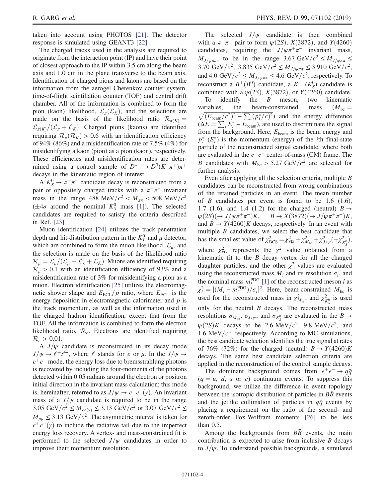taken into account using PHOTOS [\[21\].](#page-7-16) The detector response is simulated using GEANT3 [\[22\]](#page-7-17).

The charged tracks used in the analysis are required to originate from the interaction point (IP) and have their point of closest approach to the IP within 3.5 cm along the beam axis and 1.0 cm in the plane transverse to the beam axis. Identification of charged pions and kaons are based on the information from the aerogel Cherenkov counter system, time-of-flight scintillation counter (TOF) and central drift chamber. All of the information is combined to form the pion (kaon) likelihood,  $\mathcal{L}_{\pi}(\mathcal{L}_K)$ , and the selections are made on the basis of the likelihood ratio  $\mathcal{R}_{\pi(K)} =$  $\mathcal{L}_{\pi(K)}/(\mathcal{L}_{\pi}+\mathcal{L}_K)$ . Charged pions (kaons) are identified requiring  $\mathcal{R}_{\pi}(\mathcal{R}_K) > 0.6$  with an identification efficiency of 94% (86%) and a misidentification rate of 7.5% (4%) for misidentifying a kaon (pion) as a pion (kaon), respectively. These efficiencies and misidentification rates are determined using a control sample of  $D^{*+} \to D^0(K^-\pi^+)\pi^+$ decays in the kinematic region of interest.

A  $K_S^0 \to \pi^+\pi^-$  candidate decay is reconstructed from a pair of oppositely charged tracks with a  $\pi^+\pi^-$  invariant mass in the range 488 MeV/ $c^2 < M_{\pi\pi} < 508$  MeV/ $c^2$  $(\pm 4\sigma$  around the nominal  $K_S^0$  mass [\[1\]\)](#page-7-0). The selected candidates are required to satisfy the criteria described in Ref. [\[23\]](#page-7-18).

Muon identification [\[24\]](#page-7-19) utilizes the track-penetration depth and hit-distribution pattern in the  $K<sub>L</sub><sup>0</sup>$  and  $\mu$  detector, which are combined to form the muon likelihood,  $\mathcal{L}_{\mu}$ , and the selection is made on the basis of the likelihood ratio  $\mathcal{R}_{\mu} = \mathcal{L}_{\mu} / (\mathcal{L}_{\mu} + \mathcal{L}_{\pi} + \mathcal{L}_{K})$ . Muons are identified requiring  $\mathcal{R}_{\mu} > 0.1$  with an identification efficiency of 93% and a misidentification rate of 3% for misidentifying a pion as a muon. Electron identification [\[25\]](#page-7-20) utilizes the electromagnetic shower shape and  $E_{\text{ECL}}/p$  ratio, where  $E_{\text{ECL}}$  is the energy deposition in electromagnetic calorimeter and  $p$  is the track momentum, as well as the information used in the charged hadron identification, except that from the TOF. All the information is combined to form the electron likelihood ratio,  $\mathcal{R}_{e}$ . Electrons are identified requiring  $\mathcal{R}_e > 0.01$ .

A  $J/\psi$  candidate is reconstructed in its decay mode  $J/\psi \rightarrow \ell^+ \ell^-$ , where  $\ell$  stands for e or  $\mu$ . In the  $J/\psi \rightarrow$  $e^+e^-$  mode, the energy loss due to bremsstrahlung photons is recovered by including the four-momenta of the photons detected within 0.05 radians around the electron or positron initial direction in the invariant mass calculation; this mode is, hereinafter, referred to as  $J/\psi \rightarrow e^+e^-(\gamma)$ . An invariant mass of a  $J/\psi$  candidate is required to be in the range 3.05 GeV/ $c^2 \leq M_{ee(\gamma)} \leq 3.13$  GeV/ $c^2$  or 3.07 GeV/ $c^2 \leq$  $M_{\mu\mu} \leq 3.13 \text{ GeV}/c^2$ . The asymmetric interval is taken for  $e^+e^-(\gamma)$  to include the radiative tail due to the imperfect energy loss recovery. A vertex- and mass-constrained fit is performed to the selected  $J/\psi$  candidates in order to improve their momentum resolution.

The selected  $J/\psi$  candidate is then combined with a  $\pi^+\pi^-$  pair to form  $\psi(2S)$ ,  $X(3872)$ , and  $Y(4260)$ candidates, requiring the  $J/\psi \pi^+\pi^-$  invariant mass,  $M_{J/\psi\pi\pi}$ , to be in the range 3.67 GeV/ $c^2 \leq M_{J/\psi\pi\pi} \leq$ 3.70 GeV/c<sup>2</sup>, 3.835 GeV/c<sup>2</sup>  $\leq M_{J/\psi\pi\pi} \leq 3.910$  GeV/c<sup>2</sup>, and 4.0 GeV/ $c^2 \leq M_{J/\psi\pi\pi} \leq 4.6$  GeV/ $c^2$ , respectively. To reconstruct a  $B^+(B^0)$  candidate, a  $K^+$  ( $K^0_S$ ) candidate is combined with a  $\psi(2S)$ ,  $X(3872)$ , or  $Y(4260)$  candidate.<br>To identify the *B* meson, two kinematic

 $B$  meson, variables, the beam-constrained mass  $(M_{bc} = \sqrt{(E_{beam}/c^2)^2 - \sum_i (p_i^*/c)^2})$  and the energy difference  $(\Delta E = \sum_{i} E_i^* - E_{\text{beam}})$ , are used to discriminate the signal from the background. Here,  $E_{\text{beam}}$  is the beam energy and  $p_i^*$  ( $E_i^*$ ) is the momentum (energy) of the *i*th final-state particle of the reconstructed signal candidate, where both are evaluated in the  $e^+e^-$  center-of-mass (CM) frame. The B candidates with  $M_{bc} > 5.27 \text{ GeV}/c^2$  are selected for further analysis.

Even after applying all the selection criteria, multiple B candidates can be reconstructed from wrong combinations of the retained particles in an event. The mean number of  $\overline{B}$  candidates per event is found to be 1.6 (1.6), 1.7 (1.6), and 1.4 (1.2) for the charged (neutral)  $B \rightarrow$  $\psi(2S)(\rightarrow J/\psi \pi^+\pi^-)K$ ,  $B \rightarrow X(3872)(\rightarrow J/\psi \pi^+\pi^-)K$ , and  $B \to Y(4260)K$  decays, respectively. In an event with multiple  $B$  candidates, we select the best candidate that has the smallest value of  $\chi^2_{\text{BCS}} = \chi^2_{\text{vtx}} + \chi^2_{M_{\text{bc}}} + \chi^2_{J/\psi} + \chi^2_{K^0_S}$ , where  $\chi^2_{\text{vtx}}$  represents the  $\chi^2$  value obtained from a kinematic fit to the  $B$  decay vertex for all the charged daughter particles, and the other  $\chi^2$  values are evaluated using the reconstructed mass  $M_i$  and its resolution  $\sigma_i$ , and the nominal mass  $m_i^{\text{PDG}}$  [\[1\]](#page-7-0) of the reconstructed meson *i* as  $\chi_i^2 = [(M_i - m_i^{\text{PDG}})/\sigma_i]^2$ . Here, beam-constrained  $M_{\text{bc}}$  is used for the reconstructed mass in  $\chi^2_{M_{\text{bc}}}$ , and  $\chi^2_{K^0_S}$  is used only for the neutral  $B$  decays. The reconstructed mass resolutions  $\sigma_{M_{bc}}$ ,  $\sigma_{J/\psi}$ , and  $\sigma_{K^0_S}$  are evaluated in the  $B \to$  $\psi(2S)K$  decays to be 2.6 MeV/c<sup>2</sup>, 9.8 MeV/c<sup>2</sup>, and 1.6 MeV/ $c^2$ , respectively. According to MC simulations, the best candidate selection identifies the true signal at rates of 76% (72%) for the charged (neutral)  $B \to Y(4260)K$ decays. The same best candidate selection criteria are applied in the reconstruction of the control sample decays.

The dominant background comes from  $e^+e^- \rightarrow q\bar{q}$  $(q = u, d, s \text{ or } c)$  continuum events. To suppress this background, we utilize the difference in event topology between the isotropic distribution of particles in  $B\bar{B}$  events and the jetlike collimation of particles in  $q\bar{q}$  events by placing a requirement on the ratio of the second- and zeroth-order Fox-Wolfram moments [\[26\]](#page-7-21) to be less than 0.5.

Among the backgrounds from  $B\bar{B}$  events, the main contribution is expected to arise from inclusive  $B$  decays to  $J/\psi$ . To understand possible backgrounds, a simulated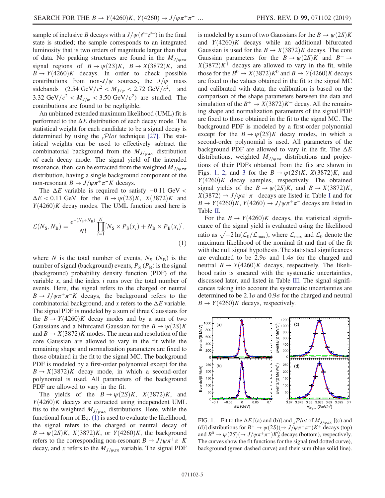sample of inclusive B decays with a  $J/\psi(\ell^+\ell^-)$  in the final state is studied; the sample corresponds to an integrated luminosity that is two orders of magnitude larger than that of data. No peaking structures are found in the  $M_{J/\psi\pi\pi}$ signal regions of  $B \to \psi(2S)K$ ,  $B \to X(3872)K$ , and  $B \rightarrow Y(4260)K$  decays. In order to check possible contributions from non- $J/\psi$  sources, the  $J/\psi$  mass sidebands (2.54 GeV/ $c^2 < M_{J/\psi} < 2.72$  GeV/ $c^2$ , and 3.32 GeV/ $c^2 < M_{J/\psi} < 3.50$  GeV/ $c^2$ ) are studied. The contributions are found to be negligible.

An unbinned extended maximum likelihood (UML) fit is performed to the  $\Delta E$  distribution of each decay mode. The statistical weight for each candidate to be a signal decay is determined by using the  $sPlot$  technique [\[27\].](#page-7-22) The statistical weights can be used to effectively subtract the combinatorial background from the  $M_{J/\psi\pi\pi}$  distribution of each decay mode. The signal yield of the intended resonance, then, can be extracted from the weighted  $M_{J/\psi\pi\pi}$ distribution, having a single background component of the non-resonant  $B \to J/\psi \pi^+ \pi^- K$  decays.

<span id="page-4-0"></span>The  $\Delta E$  variable is required to satisfy  $-0.11$  GeV <  $\Delta E < 0.11$  GeV for the  $B \to \psi(2S)K$ ,  $X(3872)K$  and  $Y(4260)K$  decay modes. The UML function used here is

$$
\mathcal{L}(N_{\rm S}, N_{\rm B}) = \frac{e^{-(N_{\rm S} + N_{\rm B})}}{N!} \prod_{i=1}^{N} [N_{\rm S} \times P_{\rm S}(x_i) + N_{\rm B} \times P_{\rm B}(x_i)],
$$
\n(1)

where N is the total number of events,  $N_S$  ( $N_B$ ) is the number of signal (background) events,  $P_S(P_B)$  is the signal (background) probability density function (PDF) of the variable  $x$ , and the index  $i$  runs over the total number of events. Here, the signal refers to the charged or neutral  $B \to J/\psi \pi^+ \pi^- K$  decays, the background refers to the combinatorial background, and x refers to the  $\Delta E$  variable. The signal PDF is modeled by a sum of three Gaussians for the  $B \to Y(4260)K$  decay modes and by a sum of two Gaussians and a bifurcated Gaussian for the  $B \to \psi(2S)K$ and  $B \to X(3872)K$  modes. The mean and resolution of the core Gaussian are allowed to vary in the fit while the remaining shape and normalization parameters are fixed to those obtained in the fit to the signal MC. The background PDF is modeled by a first-order polynomial except for the  $B \to X(3872)K$  decay mode, in which a second-order polynomial is used. All parameters of the background PDF are allowed to vary in the fit.

The yields of the  $B \to \psi(2S)K$ ,  $X(3872)K$ , and  $Y(4260)K$  decays are extracted using independent UML fits to the weighted  $M_{J/\psi\pi\pi}$  distributions. Here, while the functional form of Eq. [\(1\)](#page-4-0) is used to evaluate the likelihood, the signal refers to the charged or neutral decay of  $B \to \psi(2S)K$ ,  $X(3872)K$ , or  $Y(4260)K$ , the background refers to the corresponding non-resonant  $B \to J/\psi \pi^+ \pi^- K$ decay, and x refers to the  $M_{J/\psi\pi\pi}$  variable. The signal PDF is modeled by a sum of two Gaussians for the  $B \to \psi(2S)K$ and  $Y(4260)K$  decays while an additional bifurcated Gaussian is used for the  $B \to X(3872)K$  decays. The core Gaussian parameters for the  $B \to \psi(2S)K$  and  $B^+ \to$  $X(3872)K^+$  decays are allowed to vary in the fit, while those for the  $B^0 \to X(3872)K^0$  and  $B \to Y(4260)K$  decays are fixed to the values obtained in the fit to the signal MC and calibrated with data; the calibration is based on the comparison of the shape parameters between the data and simulation of the  $B^+ \to X(3872)K^+$  decay. All the remaining shape and normalization parameters of the signal PDF are fixed to those obtained in the fit to the signal MC. The background PDF is modeled by a first-order polynomial except for the  $B \to \psi(2S)K$  decay modes, in which a second-order polynomial is used. All parameters of the background PDF are allowed to vary in the fit. The  $\Delta E$ distributions, weighted  $M_{J/\psi\pi\pi}$  distributions and projections of their PDFs obtained from the fits are shown in Figs. [1,](#page-4-1) [2](#page-5-0), and [3](#page-5-1) for the  $B \to \psi(2S)K$ ,  $X(3872)K$ , and  $Y(4260)K$  decay samples, respectively. The obtained signal yields of the  $B \to \psi(2S)K$ , and  $B \to X(3872)K$ ,  $X(3872) \rightarrow J/\psi \pi^+ \pi^-$  decays are listed in Table [I](#page-5-2) and for  $B \to Y(4260)K$ ,  $Y(4260) \to J/\psi \pi^+ \pi^-$  decays are listed in Table [II](#page-5-3).

For the  $B \to Y(4260)K$  decays, the statistical significance of the signal yield is evaluated using the likelihood ratio as  $\sqrt{-2 \ln(\mathcal{L}_0/\mathcal{L}_{\text{max}})}$ , where  $\mathcal{L}_{\text{max}}$  and  $\mathcal{L}_0$  denote the maximum likelihood of the nominal fit and that of the fit with the null signal hypothesis. The statistical significances are evaluated to be  $2.9\sigma$  and  $1.4\sigma$  for the charged and neutral  $B \to Y(4260)K$  decays, respectively. The likelihood ratio is smeared with the systematic uncertainties, discussed later, and listed in Table [III.](#page-6-0) The signal significances taking into account the systematic uncertainties are determined to be  $2.1\sigma$  and  $0.9\sigma$  for the charged and neutral  $B \to Y(4260)K$  decays, respectively.

<span id="page-4-1"></span>

FIG. 1. Fit to the  $\Delta E$  [(a) and (b)] and  $\sum_{s}$ Plot of  $M_{J/\psi\pi\pi}$  [(c) and (d)] distributions for  $B^+ \to \psi(2S)(\to J/\psi \pi^+\pi^-)K^+$  decays (top) and  $B^0 \to \psi(2S)(\to J/\psi \pi^+\pi^-)K_S^0$  decays (bottom), respectively. The curves show the fit functions for the signal (red dotted curve), background (green dashed curve) and their sum (blue solid line).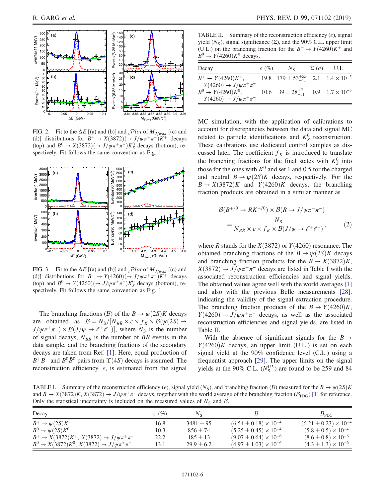<span id="page-5-0"></span>

FIG. 2. Fit to the  $\Delta E$  [(a) and (b)] and  $\Delta E$ <sup> $\int$ </sup> (b) and  $\Delta E$  [(c) and (d)] distributions for  $B^+ \to X(3872)(\to J/\psi \pi^+ \pi^-)K^+$  decays (top) and  $B^0 \to X(3872)(\to J/\psi \pi^+ \pi^-)K_S^0$  decays (bottom), respectively. Fit follows the same convention as Fig. [1.](#page-4-1)

<span id="page-5-1"></span>

FIG. 3. Fit to the  $\Delta E$  [(a) and (b)] and  $\Delta F$   $P$ *lot* of  $M_{J/\psi\pi\pi}$  [(c) and (d)] distributions for  $B^+ \to Y(4260)(\to J/\psi \pi^+ \pi^-)K^+$  decays (top) and  $B^0 \to Y(4260)(\to J/\psi \pi^+ \pi^-) K_S^0$  decays (bottom), respectively. Fit follows the same convention as Fig. [1.](#page-4-1)

The branching fractions (B) of the  $B \to \psi(2S)K$  decays are obtained as  $\mathcal{B} = N_S/[N_{B\bar{B}} \times \epsilon \times f_K \times \mathcal{B}(\psi(2S) \rightarrow$  $J/\psi \pi^+\pi^-$  ×  $\mathcal{B}(J/\psi \to \ell^+\ell^-)$ , where  $N_s$  is the number of signal decays,  $N_{B\bar{B}}$  is the number of BB events in the data sample, and the branching fractions of the secondary decays are taken from Ref. [\[1\].](#page-7-0) Here, equal production of  $B^+B^-$  and  $B^0\bar{B}^0$  pairs from  $\Upsilon(4S)$  decays is assumed. The reconstruction efficiency,  $\epsilon$ , is estimated from the signal

<span id="page-5-3"></span>TABLE II. Summary of the reconstruction efficiency  $(\epsilon)$ , signal yield ( $N<sub>S</sub>$ ), signal significance ( $\Sigma$ ), and the 90% C.L. upper limit (U.L.) on the branching fraction for the  $B^+ \rightarrow Y(4260)K^+$  and  $B^0 \rightarrow Y(4260)K^0$  decays.

| Decay                                                      | $\epsilon$ (%) | $N_{\rm s}$                                            | $\Sigma(\sigma)$ U.L. |
|------------------------------------------------------------|----------------|--------------------------------------------------------|-----------------------|
| $B^+ \to Y(4260)K^+,$                                      |                | 19.8 $179 \pm 53^{+55}_{-41}$ 2.1 $1.4 \times 10^{-5}$ |                       |
| $Y(4260) \to J/\psi \pi^+ \pi^-$<br>$B^0 \to Y(4260)K^0$ , |                | 10.6 $39 \pm 28^{+7}_{-31}$ 0.9 $1.7 \times 10^{-5}$   |                       |
| $Y(4260) \to J/\psi \pi^+ \pi^-$                           |                |                                                        |                       |

MC simulation, with the application of calibrations to account for discrepancies between the data and signal MC related to particle identifications and  $K_S^0$  reconstruction. These calibrations use dedicated control samples as discussed later. The coefficient  $f_K$  is introduced to translate the branching fractions for the final states with  $K_S^0$  into those for the ones with  $K^0$  and set 1 and 0.5 for the charged and neutral  $B \to \psi(2S)K$  decays, respectively. For the  $B \to X(3872)K$  and  $Y(4260)K$  decays, the branching fraction products are obtained in a similar manner as

<span id="page-5-4"></span>
$$
\mathcal{B}(B^{+/0} \to RK^{+/0}) \times \mathcal{B}(R \to J/\psi \pi^+ \pi^-)
$$
  
= 
$$
\frac{N_S}{N_{B\bar{B}} \times \epsilon \times f_K \times \mathcal{B}(J/\psi \to \ell^+ \ell^-)},
$$
 (2)

where R stands for the  $X(3872)$  or  $Y(4260)$  resonance. The obtained branching fractions of the  $B \to \psi(2S)K$  decays and branching fraction products for the  $B \to X(3872)K$ ,  $X(3872) \rightarrow J/\psi \pi^+ \pi^-$  decays are listed in Table [I](#page-5-2) with the associated reconstruction efficiencies and signal yields. The obtained values agree well with the world averages [\[1\]](#page-7-0) and also with the previous Belle measurements [\[28\]](#page-7-23), indicating the validity of the signal extraction procedure. The branching fraction products of the  $B \to Y(4260)K$ ,  $Y(4260) \rightarrow J/\psi \pi^+ \pi^-$  decays, as well as the associated reconstruction efficiencies and signal yields, are listed in Table [II](#page-5-3).

With the absence of significant signals for the  $B \rightarrow$  $Y(4260)K$  decays, an upper limit (U.L.) is set on each signal yield at the 90% confidence level (C.L.) using a frequentist approach [\[29\]](#page-7-24). The upper limits on the signal yields at the  $90\%$  C.L.  $(N_S^{UL})$  are found to be 259 and 84

<span id="page-5-2"></span>TABLE I. Summary of the reconstruction efficiency ( $\epsilon$ ), signal yield ( $N<sub>S</sub>$ ), and branching fraction (B) measured for the  $B \to \psi(2S)K$ and  $B \to X(3872)K$ ,  $X(3872) \to J/\psi \pi^+ \pi^-$  decays, together with the world average of the branching fraction ( $\mathcal{B}_{PDG}$ ) [\[1\]](#page-7-0) for reference. Only the statistical uncertainty is included on the measured values of  $N<sub>S</sub>$  and  $\beta$ .

| Decay                                                   | $\epsilon$ (%) | Nе             |                                  | $\mathcal{B}_{\texttt{PDG}}$     |  |  |
|---------------------------------------------------------|----------------|----------------|----------------------------------|----------------------------------|--|--|
| $B^+\to\psi(2S)K^+$                                     | 16.8           | $3481 \pm 95$  | $(6.54 \pm 0.18) \times 10^{-4}$ | $(6.21 \pm 0.23) \times 10^{-4}$ |  |  |
| $B^0 \rightarrow \psi(2S)K^0$                           | 10.3           | $856 + 74$     | $(5.25 \pm 0.45) \times 10^{-4}$ | $(5.8 \pm 0.5) \times 10^{-4}$   |  |  |
| $B^+ \to X(3872)K^+, X(3872) \to J/\psi \pi^+ \pi^-$    | 22.2           | $185 \pm 13$   | $(9.07 \pm 0.64) \times 10^{-6}$ | $(8.6 \pm 0.8) \times 10^{-6}$   |  |  |
| $B^0 \to X(3872)K^0$ , $X(3872) \to J/\psi \pi^+ \pi^-$ | 13.1           | $29.9 \pm 6.2$ | $(4.97 \pm 1.03) \times 10^{-6}$ | $(4.3 \pm 1.3) \times 10^{-6}$   |  |  |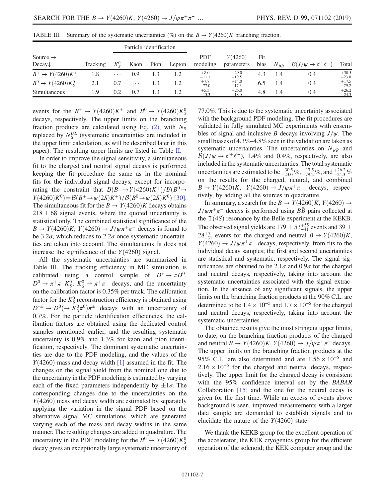| Particle identification                    |          |               |          |      |        |                        |                       |             |                |                                         |                    |
|--------------------------------------------|----------|---------------|----------|------|--------|------------------------|-----------------------|-------------|----------------|-----------------------------------------|--------------------|
| Source $\rightarrow$<br>Decay $\downarrow$ | Tracking | $K_{\rm c}^0$ | Kaon     | Pion | Lepton | <b>PDF</b><br>modeling | Y(4260)<br>parameters | Fit<br>bias | $N_{B\bar{B}}$ | $\mathcal{B}(J/\psi \to \ell^+ \ell^-)$ | Total              |
| $B^+ \to Y(4260)K^+$                       | 1.8      | $\cdots$      | 0.9      |      | 1.2    | $+8.0$<br>$-11.1$      | $+29.0$<br>$-19.5$    | 4.3         | 1.4            | 0.4                                     | $+30.5$<br>$-23.0$ |
| $B^0 \to Y(4260)K_s^0$                     | 2.1      | 0.7           | $\cdots$ |      | 1.2    | $+7.7$<br>$-77.0$      | $+14.0$<br>$-17.3$    | 6.5         | 1.4            | 0.4                                     | $+17.5$<br>$-79.2$ |
| Simultaneous                               | 1.9      | 0.2           | 0.7      |      | 1.2    | $+5.3$<br>$-15.3$      | $+25.0$<br>$-18.0$    | 4.8         | 1.4            | 0.4                                     | $+26.2$<br>$-24.3$ |

<span id="page-6-0"></span>TABLE III. Summary of the systematic uncertainties (%) on the  $B \to Y(4260)K$  branching fraction.

events for the  $B^+ \rightarrow Y(4260)K^+$  and  $B^0 \rightarrow Y(4260)K_S^0$ decays, respectively. The upper limits on the branching fraction products are calculated using Eq. [\(2\)](#page-5-4), with  $N<sub>S</sub>$ replaced by  $N_S^{UL}$  (systematic uncertainties are included in the upper limit calculation, as will be described later in this paper). The resulting upper limits are listed in Table [II](#page-5-3).

In order to improve the signal sensitivity, a simultaneous fit to the charged and neutral signal decays is performed keeping the fit procedure the same as in the nominal fits for the individual signal decays, except for incorporating the constraint that  $\mathcal{B}(B^+\to Y(4260)K^+)/\mathcal{B}(B^0\to$  $Y(4260)K^0 = \mathcal{B}(B^+ \to \psi(2S)K^+) / \mathcal{B}(B^0 \to \psi(2S)K^0)$  [\[30\]](#page-7-25). The simultaneous fit for the  $B \to Y(4260)K$  decays obtains  $218 \pm 68$  signal events, where the quoted uncertainty is statistical only. The combined statistical significance of the  $B \to Y(4260)K$ ,  $Y(4260) \to J/\psi \pi^+ \pi^-$  decays is found to be 3.2 $\sigma$ , which reduces to 2.2 $\sigma$  once systematic uncertainties are taken into account. The simultaneous fit does not increase the significance of the  $Y(4260)$  signal.

All the systematic uncertainties are summarized in Table [III](#page-6-0). The tracking efficiency in MC simulation is calibrated using a control sample of  $D^* \to \pi D^0$ ,  $D^0 \to \pi^+ \pi^- K^0_S$ ,  $K^0_S \to \pi^+ \pi^-$  decays, and the uncertainty on the calibration factor is 0.35% per track. The calibration factor for the  $K_S^0$  reconstruction efficiency is obtained using  $D^{*\pm} \to D^0 (\to \tilde{K}_S^0 \pi^0) \pi^{\pm}$  decays with an uncertainty of 0.7%. For the particle identification efficiencies, the calibration factors are obtained using the dedicated control samples mentioned earlier, and the resulting systematic uncertainty is 0.9% and 1.3% for kaon and pion identification, respectively. The dominant systematic uncertainties are due to the PDF modeling, and the values of the  $Y(4260)$  mass and decay width [\[1\]](#page-7-0) assumed in the fit. The changes on the signal yield from the nominal one due to the uncertainty in the PDF modeling is estimated by varying each of the fixed parameters independently by  $\pm 1\sigma$ . The corresponding changes due to the uncertainties on the  $Y(4260)$  mass and decay width are estimated by separately applying the variation in the signal PDF based on the alternative signal MC simulations, which are generated varying each of the mass and decay widths in the same manner. The resulting changes are added in quadrature. The uncertainty in the PDF modeling for the  $B^0 \rightarrow Y(4260)K_S^0$ decay gives an exceptionally large systematic uncertainty of 77.0%. This is due to the systematic uncertainty associated with the background PDF modeling. The fit procedures are validated in fully simulated MC experiments with ensembles of signal and inclusive B decays involving  $J/\psi$ . The small biases of 4.3%–4.8% seen in the validation are taken as systematic uncertainties. The uncertainties on  $N_{B\bar{B}}$  and  $\mathcal{B}(J/\psi \to \ell^+ \ell^-)$ , 1.4% and 0.4%, respectively, are also included in the systematic uncertainties. The total systematic uncertainties are estimated to be  $^{+30.5}_{-23.0}$  %,  $^{+17.5}_{-79.2}$  %, and  $^{+26.2}_{-24.3}$  % on the results for the charged, neutral, and combined  $B \to Y(4260)K$ ,  $Y(4260) \to J/\psi \pi^+ \pi^-$  decays, respectively, by adding all the sources in quadrature.

In summary, a search for the  $B \to Y(4260)K, Y(4260) \to$  $J/\psi \pi^+\pi^-$  decays is performed using  $B\bar{B}$  pairs collected at the  $\Upsilon(4S)$  resonance by the Belle experiment at the KEKB. The observed signal yields are  $179 \pm 53^{+55}_{-41}$  events and 39  $\pm$  $28^{+7}_{-31}$  events for the charged and neutral  $B \to Y(4260)K$ ,  $Y(4260) \rightarrow J/\psi \pi^+ \pi^-$  decays, respectively, from fits to the individual decay samples; the first and second uncertainties are statistical and systematic, respectively. The signal significances are obtained to be  $2.1\sigma$  and  $0.9\sigma$  for the charged and neutral decays, respectively, taking into account the systematic uncertainties associated with the signal extraction. In the absence of any significant signals, the upper limits on the branching fraction products at the 90% C.L. are determined to be  $1.4 \times 10^{-5}$  and  $1.7 \times 10^{-5}$  for the charged and neutral decays, respectively, taking into account the systematic uncertainties.

The obtained results give the most stringent upper limits, to date, on the branching fraction products of the charged and neutral  $B \to Y(4260)K$ ,  $Y(4260) \to J/\psi \pi^+ \pi^-$  decays. The upper limits on the branching fraction products at the 95% C.L. are also determined and are  $1.56 \times 10^{-5}$  and  $2.16 \times 10^{-5}$  for the charged and neutral decays, respectively. The upper limit for the charged decay is consistent with the 95% confidence interval set by the BABAR Collaboration [\[15\]](#page-7-10) and the one for the neutral decay is given for the first time. While an excess of events above background is seen, improved measurements with a larger data sample are demanded to establish signals and to elucidate the nature of the  $Y(4260)$  state.

We thank the KEKB group for the excellent operation of the accelerator; the KEK cryogenics group for the efficient operation of the solenoid; the KEK computer group and the